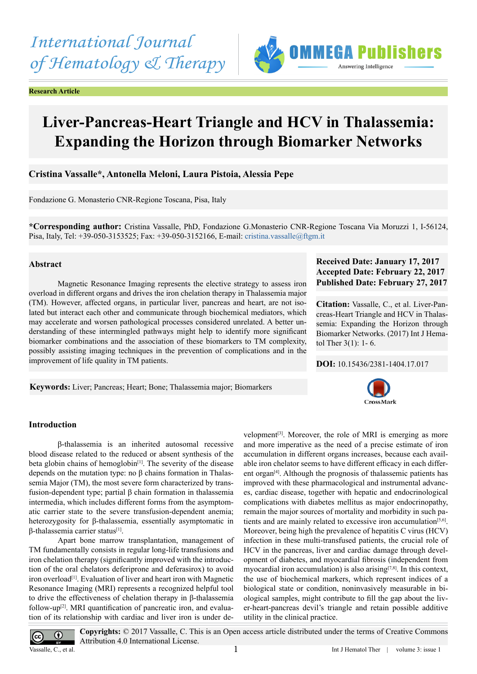**Research Article**

# **IMMEGA Publishers** Answering Intelligence

# **Liver-Pancreas-Heart Triangle and HCV in Thalassemia: Expanding the Horizon through Biomarker Networks**

# **Cristina Vassalle\*, Antonella Meloni, Laura Pistoia, Alessia Pepe**

Fondazione G. Monasterio CNR-Regione Toscana, Pisa, Italy

**\*Corresponding author:** Cristina Vassalle, PhD, Fondazione G.Monasterio CNR-Regione Toscana Via Moruzzi 1, I-56124, Pisa, Italy, Tel: +39-050-3153525; Fax: +39-050-3152166, E-mail: [cristina.vassalle@ftgm.it](mailto:cristina.vassalle@ftgm.it)

### **Abstract**

Magnetic Resonance Imaging represents the elective strategy to assess iron overload in different organs and drives the iron chelation therapy in Thalassemia major (TM). However, affected organs, in particular liver, pancreas and heart, are not isolated but interact each other and communicate through biochemical mediators, which may accelerate and worsen pathological processes considered unrelated. A better understanding of these intermingled pathways might help to identify more significant biomarker combinations and the association of these biomarkers to TM complexity, possibly assisting imaging techniques in the prevention of complications and in the improvement of life quality in TM patients.

**Keywords:** Liver; Pancreas; Heart; Bone; Thalassemia major; Biomarkers

# **Received Date: January 17, 2017 Accepted Date: February 22, 2017 Published Date: February 27, 2017**

**Citation:** Vassalle, C., et al. Liver-Pancreas-Heart Triangle and HCV in Thalassemia: Expanding the Horizon through Biomarker Networks. (2017) Int J Hematol Ther 3(1): 1- 6.

**DOI:** [10.15436/2381-1404.17.0](http://www.dx.doi.org/10.15436/2381-1404.17.017)17



# **Introduction**

β-thalassemia is an inherited autosomal recessive blood disease related to the reduced or absent synthesis of the beta globin chains of hemoglobin<sup>[1]</sup>. The severity of the disease depends on the mutation type: no β chains formation in Thalassemia Major (TM), the most severe form characterized by transfusion-dependent type; partial β chain formation in thalassemia intermedia, which includes different forms from the asymptomatic carrier state to the severe transfusion-dependent anemia; heterozygosity for β-thalassemia, essentially asymptomatic in β-thalassemia carrier status[\[1\].](#page-4-0)

Apart bone marrow transplantation, management of TM fundamentally consists in regular long-life transfusions and iron chelation therapy (significantly improved with the introduction of the oral chelators deferiprone and deferasirox) to avoid iron overload<sup>[1]</sup>. Evaluation of liver and heart iron with Magnetic Resonance Imaging (MRI) represents a recognized helpful tool to drive the effectiveness of chelation therapy in β-thalassemia follow-up<sup>[2]</sup>. MRI quantification of pancreatic iron, and evaluation of its relationship with cardiac and liver iron is under development<sup>[3]</sup>. Moreover, the role of MRI is emerging as more and more imperative as the need of a precise estimate of iron accumulation in different organs increases, because each available iron chelator seems to have different efficacy in each different organ[\[4\].](#page-4-3) Although the prognosis of thalassemic patients has improved with these pharmacological and instrumental advances, cardiac disease, together with hepatic and endocrinological complications with diabetes mellitus as major endocrinopathy, remain the major sources of mortality and morbidity in such patients and are mainly related to excessive iron accumulation<sup>[5,6]</sup>. Moreover, being high the prevalence of hepatitis C virus (HCV) infection in these multi-transfused patients, the crucial role of HCV in the pancreas, liver and cardiac damage through development of diabetes, and myocardial fibrosis (independent from myocardial iron accumulation) is also arising $[7,8]$ . In this context, the use of biochemical markers, which represent indices of a biological state or condition, noninvasively measurable in biological samples, might contribute to fill the gap about the liver-heart-pancreas devil's triangle and retain possible additive utility in the clinical practice.



**Copyrights:** © 2017 Vassalle, C. This is an Open access article distributed under the terms of Creative Commons Attribution 4.0 International License.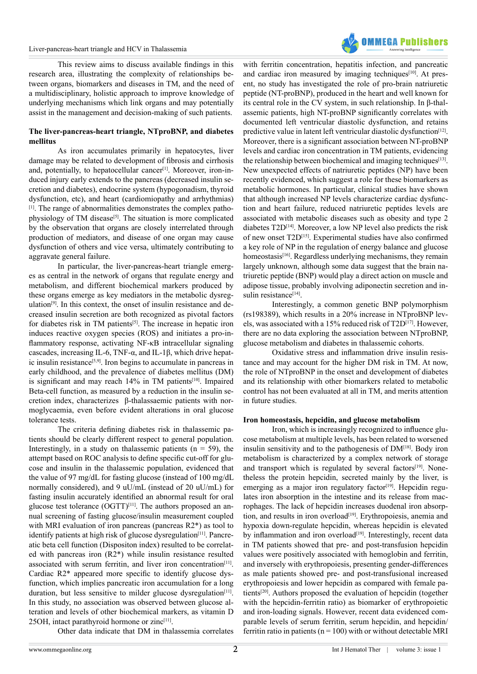#### Liver-pancreas-heart triangle and HCV in Thalassemia



This review aims to discuss available findings in this research area, illustrating the complexity of relationships between organs, biomarkers and diseases in TM, and the need of a multidisciplinary, holistic approach to improve knowledge of underlying mechanisms which link organs and may potentially assist in the management and decision-making of such patients.

### **The liver-pancreas-heart triangle, NTproBNP, and diabetes mellitus**

As iron accumulates primarily in hepatocytes, liver damage may be related to development of fibrosis and cirrhosis and, potentially, to hepatocellular cancer<sup>[1]</sup>. Moreover, iron-induced injury early extends to the pancreas (decreased insulin secretion and diabetes), endocrine system (hypogonadism, thyroid dysfunction, etc), and heart (cardiomiopathy and arrhythmias) [\[1\].](#page-4-0) The range of abnormalities demonstrates the complex pathophysiology of TM disease<sup>[5]</sup>. The situation is more complicated by the observation that organs are closely interrelated through production of mediators, and disease of one organ may cause dysfunction of others and vice versa, ultimately contributing to aggravate general failure.

In particular, the liver-pancreas-heart triangle emerges as central in the network of organs that regulate energy and metabolism, and different biochemical markers produced by these organs emerge as key mediators in the metabolic dysregulation<sup>[9]</sup>. In this context, the onset of insulin resistance and decreased insulin secretion are both recognized as pivotal factors for diabetes risk in TM patients<sup>[5]</sup>. The increase in hepatic iron induces reactive oxygen species (ROS) and initiates a pro-inflammatory response, activating NF-κB intracellular signaling cascades, increasing IL-6, TNF- $\alpha$ , and IL-1 $\beta$ , which drive hepatic insulin resistance<sup>[5,9]</sup>. Iron begins to accumulate in pancreas in early childhood, and the prevalence of diabetes mellitus (DM) is significant and may reach  $14\%$  in TM patients<sup>[\[10\]](#page-4-7)</sup>. Impaired Beta-cell function, as measured by a reduction in the insulin secretion index, characterizes β-thalassaemic patients with normoglycaemia, even before evident alterations in oral glucose tolerance tests.

The criteria defining diabetes risk in thalassemic patients should be clearly different respect to general population. Interestingly, in a study on thalassemic patients  $(n = 59)$ , the attempt based on ROC analysis to define specific cut-off for glucose and insulin in the thalassemic population, evidenced that the value of 97 mg/dL for fasting glucose (instead of 100 mg/dL normally considered), and 9 uU/mL (instead of 20 uU/mL) for fasting insulin accurately identified an abnormal result for oral glucose test tolerance  $(OGTT)^{[11]}$  $(OGTT)^{[11]}$  $(OGTT)^{[11]}$ . The authors proposed an annual screening of fasting glucose/insulin measurement coupled with MRI evaluation of iron pancreas (pancreas R2<sup>\*</sup>) as tool to identify patients at high risk of glucose dysregulation<sup>[\[11\]](#page-4-8)</sup>. Pancreatic beta cell function (Dispositon index) resulted to be correlated with pancreas iron (R2\*) while insulin resistance resulted associated with serum ferritin, and liver iron concentration $[11]$ . Cardiac R2\* appeared more specific to identify glucose dysfunction, which implies pancreatic iron accumulation for a long duration, but less sensitive to milder glucose dysregulation<sup>[\[11\]](#page-4-8)</sup>. In this study, no association was observed between glucose alteration and levels of other biochemical markers, as vitamin D  $25OH$ , intact parathyroid hormone or zinc<sup>[11]</sup>.

Other data indicate that DM in thalassemia correlates

with ferritin concentration, hepatitis infection, and pancreatic and cardiac iron measured by imaging techniques<sup>[10]</sup>. At present, no study has investigated the role of pro-brain natriuretic peptide (NT-proBNP), produced in the heart and well known for its central role in the CV system, in such relationship. In β-thalassemic patients, high NT-proBNP significantly correlates with documented left ventricular diastolic dysfunction, and retains predictive value in latent left ventricular diastolic dysfunction<sup>[12]</sup>. Moreover, there is a significant association between NT-proBNP levels and cardiac iron concentration in TM patients, evidencing the relationship between biochemical and imaging techniques<sup>[13]</sup>. New unexpected effects of natriuretic peptides (NP) have been recently evidenced, which suggest a role for these biomarkers as metabolic hormones. In particular, clinical studies have shown that although increased NP levels characterize cardiac dysfunction and heart failure, reduced natriuretic peptides levels are associated with metabolic diseases such as obesity and type 2 diabetes T2D<sup>[14]</sup>. Moreover, a low NP level also predicts the risk of new onset T2[D\[15\]](#page-4-12). Experimental studies have also confirmed a key role of NP in the regulation of energy balance and glucose homeostasis<sup>[\[16\]](#page-4-13)</sup>. Regardless underlying mechanisms, they remain largely unknown, although some data suggest that the brain natriuretic peptide (BNP) would play a direct action on muscle and adipose tissue, probably involving adiponectin secretion and insulin resistance<sup>[14]</sup>.

Interestingly, a common genetic BNP polymorphism (rs198389), which results in a 20% increase in NTproBNP levels, was associated with a 15% reduced risk of T2D<sup>[17]</sup>. However, there are no data exploring the association between NTproBNP, glucose metabolism and diabetes in thalassemic cohorts.

Oxidative stress and inflammation drive insulin resistance and may account for the higher DM risk in TM. At now, the role of NTproBNP in the onset and development of diabetes and its relationship with other biomarkers related to metabolic control has not been evaluated at all in TM, and merits attention in future studies.

#### **Iron homeostasis, hepcidin, and glucose metabolism**

Iron, which is increasingly recognized to influence glucose metabolism at multiple levels, has been related to worsened insulin sensitivity and to the pathogenesis of  $DM<sup>[18]</sup>$ . Body iron metabolism is characterized by a complex network of storage and transport which is regulated by several factors<sup>[\[19\]](#page-4-16)</sup>. Nonetheless the protein hepcidin, secreted mainly by the liver, is emerging as a major iron regulatory factor<sup>[19]</sup>. Hepcidin regulates iron absorption in the intestine and its release from macrophages. The lack of hepcidin increases duodenal iron absorp-tion, and results in iron overload<sup>[\[19\]](#page-4-16)</sup>. Erythropoiesis, anemia and hypoxia down-regulate hepcidin, whereas hepcidin is elevated by inflammation and iron overload<sup>[\[19\]](#page-4-16)</sup>. Interestingly, recent data in TM patients showed that pre- and post-transfusion hepcidin values were positively associated with hemoglobin and ferritin, and inversely with erythropoiesis, presenting gender-differences as male patients showed pre- and post-transfusional increased erythropoiesis and lower hepcidin as compared with female patient[s\[20\]](#page-4-17). Authors proposed the evaluation of hepcidin (together with the hepcidin-ferritin ratio) as biomarker of erythropoietic and iron-loading signals. However, recent data evidenced comparable levels of serum ferritin, serum hepcidin, and hepcidin/ ferritin ratio in patients ( $n = 100$ ) with or without detectable MRI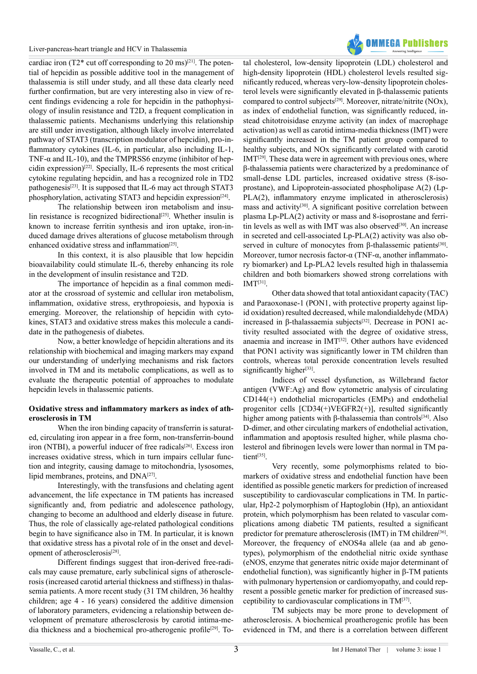

cardiac iron (T2\* cut off corresponding to 20 ms)<sup>[\[21\]](#page-4-18)</sup>. The potential of hepcidin as possible additive tool in the management of thalassemia is still under study, and all these data clearly need further confirmation, but are very interesting also in view of recent findings evidencing a role for hepcidin in the pathophysiology of insulin resistance and T2D, a frequent complication in thalassemic patients. Mechanisms underlying this relationship are still under investigation, although likely involve interrelated pathway of STAT3 (transcription modulator of hepcidin), pro-inflammatory cytokines (IL-6, in particular, also including IL-1, TNF-α and IL-10), and the TMPRSS6 enzyme (inhibitor of hepcidin expression)<sup>[22]</sup>. Specially, IL-6 represents the most critical cytokine regulating hepcidin, and has a recognized role in TD2 pathogenesis<sup>[\[23\]](#page-4-20)</sup>. It is supposed that IL-6 may act through STAT3 phosphorylation, activating STAT3 and hepcidin expression<sup>[24]</sup>.

The relationship between iron metabolism and insulin resistance is recognized bidirectional<sup>[25]</sup>. Whether insulin is known to increase ferritin synthesis and iron uptake, iron-induced damage drives alterations of glucose metabolism through enhanced oxidative stress and inflammation<sup>[25]</sup>.

In this context, it is also plausible that low hepcidin bioavailability could stimulate IL-6, thereby enhancing its role in the development of insulin resistance and T2D.

The importance of hepcidin as a final common mediator at the crossroad of systemic and cellular iron metabolism, inflammation, oxidative stress, erythropoiesis, and hypoxia is emerging. Moreover, the relationship of hepcidin with cytokines, STAT3 and oxidative stress makes this molecule a candidate in the pathogenesis of diabetes.

Now, a better knowledge of hepcidin alterations and its relationship with biochemical and imaging markers may expand our understanding of underlying mechanisms and risk factors involved in TM and its metabolic complications, as well as to evaluate the therapeutic potential of approaches to modulate hepcidin levels in thalassemic patients.

### **Oxidative stress and inflammatory markers as index of atherosclerosis in TM**

When the iron binding capacity of transferrin is saturated, circulating iron appear in a free form, non-transferrin-bound iron (NTBI), a powerful inducer of free radicals $[26]$ . Excess iron increases oxidative stress, which in turn impairs cellular function and integrity, causing damage to mitochondria, lysosomes, lipid membranes, proteins, and DNA<sup>[\[27\]](#page-4-24)</sup>.

Interestingly, with the transfusions and chelating agent advancement, the life expectance in TM patients has increased significantly and, from pediatric and adolescence pathology, changing to become an adulthood and elderly disease in future. Thus, the role of classically age-related pathological conditions begin to have significance also in TM. In particular, it is known that oxidative stress has a pivotal role of in the onset and devel-opment of atherosclerosis<sup>[\[28\]](#page-4-25)</sup>.

Different findings suggest that iron-derived free-radicals may cause premature, early subclinical signs of atherosclerosis (increased carotid arterial thickness and stiffness) in thalassemia patients. A more recent study (31 TM children, 36 healthy children; age 4 - 16 years) considered the additive dimension of laboratory parameters, evidencing a relationship between development of premature atherosclerosis by carotid intima-media thickness and a biochemical pro-atherogenic profile[\[29\]](#page-4-26). To-

tal cholesterol, low-density lipoprotein (LDL) cholesterol and high-density lipoprotein (HDL) cholesterol levels resulted significantly reduced, whereas very-low-density lipoprotein cholesterol levels were significantly elevated in β-thalassemic patients compared to control subject[s\[29\].](#page-4-26) Moreover, nitrate/nitrite (NOx), as index of endothelial function, was significantly reduced, instead chitotroisidase enzyme activity (an index of macrophage activation) as well as carotid intima-media thickness (IMT) were significantly increased in the TM patient group compared to healthy subjects, and NOx significantly correlated with carotid  $IMT<sup>[29]</sup>$ . These data were in agreement with previous ones, where β-thalassemia patients were characterized by a predominance of small-dense LDL particles, increased oxidative stress (8-isoprostane), and Lipoprotein-associated phospholipase A(2) (Lp-PLA(2), inflammatory enzyme implicated in atherosclerosis) mass and activity<sup>[\[30\]](#page-4-27)</sup>. A significant positive correlation between plasma Lp-PLA(2) activity or mass and 8-isoprostane and ferri-tin levels as well as with IMT was also observed<sup>[\[30\]](#page-4-27)</sup>. An increase in secreted and cell-associated Lp-PLA(2) activity was also observed in culture of monocytes from β-thalassemic patients<sup>[30]</sup>. Moreover, tumor necrosis factor-α (TNF-α, another inflammatory biomarker) and Lp-PLA2 levels resulted high in thalassemia children and both biomarkers showed strong correlations with  $IMT<sup>[31]</sup>$ 

Other data showed that total antioxidant capacity (TAC) and Paraoxonase-1 (PON1, with protective property against lipid oxidation) resulted decreased, while malondialdehyde (MDA) increased in β-thalassaemia subjects<sup>[\[32\]](#page-5-1)</sup>. Decrease in PON1 activity resulted associated with the degree of oxidative stress, anaemia and increase in IMT<sup>[32]</sup>. Other authors have evidenced that PON1 activity was significantly lower in TM children than controls, whereas total peroxide concentration levels resulted significantly higher $[33]$ .

Indices of vessel dysfunction, as Willebrand factor antigen (VWF:Ag) and flow cytometric analysis of circulating CD144(+) endothelial microparticles (EMPs) and endothelial progenitor cells [CD34(+)VEGFR2(+)], resulted significantly higher among patients with β-thalassemia than controls<sup>[34]</sup>. Also D-dimer, and other circulating markers of endothelial activation, inflammation and apoptosis resulted higher, while plasma cholesterol and fibrinogen levels were lower than normal in TM patient<sup>[35]</sup>

Very recently, some polymorphisms related to biomarkers of oxidative stress and endothelial function have been identified as possible genetic markers for prediction of increased susceptibility to cardiovascular complications in TM. In particular, Hp2-2 polymorphism of Haptoglobin (Hp), an antioxidant protein, which polymorphism has been related to vascular complications among diabetic TM patients, resulted a significant predictor for premature atherosclerosis (IMT) in TM children<sup>[36]</sup>. Moreover, the frequency of eNOS4a allele (aa and ab genotypes), polymorphism of the endothelial nitric oxide synthase (eNOS, enzyme that generates nitric oxide major determinant of endothelial function), was significantly higher in β-TM patients with pulmonary hypertension or cardiomyopathy, and could represent a possible genetic marker for prediction of increased susceptibility to cardiovascular complications in T[M\[37\]](#page-5-6).

TM subjects may be more prone to development of atherosclerosis. A biochemical proatherogenic profile has been evidenced in TM, and there is a correlation between different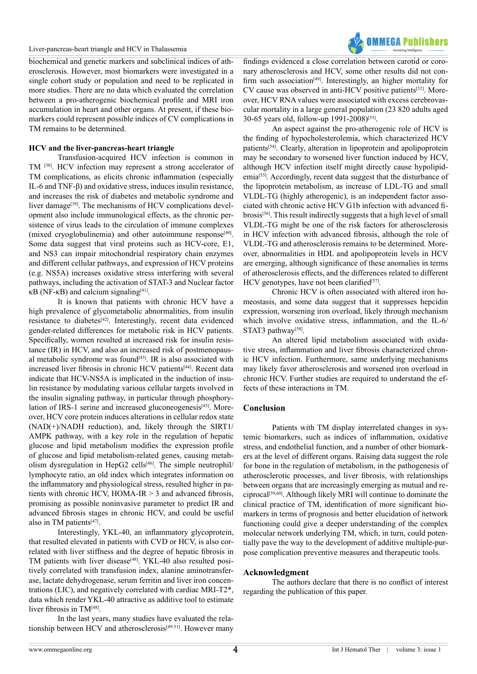#### Liver-pancreas-heart triangle and HCV in Thalassemia

biochemical and genetic markers and subclinical indices of atherosclerosis. However, most biomarkers were investigated in a single cohort study or population and need to be replicated in more studies. There are no data which evaluated the correlation between a pro-atherogenic biochemical profile and MRI iron accumulation in heart and other organs. At present, if these biomarkers could represent possible indices of CV complications in TM remains to be determined.

### **HCV and the liver-pancreas-heart triangle**

Transfusion-acquired HCV infection is common in TM [\[38\].](#page-5-7) HCV infection may represent a strong accelerator of TM complications, as elicits chronic inflammation (especially IL-6 and TNF-β) and oxidative stress, induces insulin resistance, and increases the risk of diabetes and metabolic syndrome and liver damage<sup>[39]</sup>. The mechanisms of HCV complications development also include immunological effects, as the chronic persistence of virus leads to the circulation of immune complexes (mixed cryoglobulinemia) and other autoimmune response<sup>[40]</sup>. Some data suggest that viral proteins such as HCV-core, E1, and NS3 can impair mitochondrial respiratory chain enzymes and different cellular pathways, and expression of HCV proteins (e.g. NS5A) increases oxidative stress interfering with several pathways, including the activation of STAT-3 and Nuclear factor  $κB (NF-κB)$  and calcium signaling<sup>[41]</sup>.

It is known that patients with chronic HCV have a high prevalence of glycometabolic abnormalities, from insulin resistance to diabetes[\[42\]](#page-5-11). Interestingly, recent data evidenced gender-related differences for metabolic risk in HCV patients. Specifically, women resulted at increased risk for insulin resistance (IR) in HCV, and also an increased risk of postmenopausal metabolic syndrome was found<sup>[43]</sup>. IR is also associated with increased liver fibrosis in chronic HCV patients<sup>[44]</sup>. Recent data indicate that HCV-NS5A is implicated in the induction of insulin resistance by modulating various cellular targets involved in the insulin signaling pathway, in particular through phosphorylation of IRS-1 serine and increased gluconeogenesis $[45]$ . Moreover, HCV core protein induces alterations in cellular redox state (NAD(+)/NADH reduction), and, likely through the SIRT1/ AMPK pathway, with a key role in the regulation of hepatic glucose and lipid metabolism modifies the expression profile of glucose and lipid metabolism-related genes, causing metabolism dysregulation in HepG2 cells<sup>[46]</sup>. The simple neutrophil/ lymphocyte ratio, an old index which integrates information on the inflammatory and physiological stress, resulted higher in patients with chronic HCV, HOMA-IR > 3 and advanced fibrosis, promising as possible noninvasive parameter to predict IR and advanced fibrosis stages in chronic HCV, and could be useful also in TM patients<sup>[47]</sup>.

Interestingly, YKL-40, an inflammatory glycoprotein, that resulted elevated in patients with CVD or HCV, is also correlated with liver stiffness and the degree of hepatic fibrosis in TM patients with liver disease<sup>[\[48\]](#page-5-17)</sup>. YKL-40 also resulted positively correlated with transfusion index, alanine aminotransferase, lactate dehydrogenase, serum ferritin and liver iron concentrations (LIC), and negatively correlated with cardiac MRI-T2\*, data which render YKL-40 attractive as additive tool to estimate liver fibrosis in TM[\[48\].](#page-5-17)

In the last years, many studies have evaluated the relationship between HCV and atherosclerosis<sup>[49-51]</sup>. However many findings evidenced a close correlation between carotid or coronary atherosclerosis and HCV, some other results did not confirm such association<sup>[49]</sup>. Interestingly, an higher mortality for CV cause was observed in anti-HCV positive patients<sup>[52]</sup>. Moreover, HCV RNA values were associated with excess cerebrovascular mortality in a large general population (23 820 adults aged 30-65 years old, follow-up 1991-2008[\)\[53\]](#page-5-20).

**OMMFGA Publishers** 

An aspect against the pro-atherogenic role of HCV is the finding of hypocholesterolemia, which characterized HCV patients[\[54\]](#page-5-21). Clearly, alteration in lipoprotein and apolipoprotein may be secondary to worsened liver function induced by HCV, although HCV infection itself might directly cause hypolipidemia<sup>[55]</sup>. Accordingly, recent data suggest that the disturbance of the lipoprotein metabolism, as increase of LDL-TG and small VLDL-TG (highly atherogenic), is an independent factor associated with chronic active HCV G1b infection with advanced fibrosis[\[56\]](#page-5-23). This result indirectly suggests that a high level of small VLDL-TG might be one of the risk factors for atherosclerosis in HCV infection with advanced fibrosis, although the role of VLDL-TG and atherosclerosis remains to be determined. Moreover, abnormalities in HDL and apolipoprotein levels in HCV are emerging, although significance of these anomalies in terms of atherosclerosis effects, and the differences related to different  $HCV$  genotypes, have not been clarified<sup>[\[57\]](#page-5-24)</sup>.

Chronic HCV is often associated with altered iron homeostasis, and some data suggest that it suppresses hepcidin expression, worsening iron overload, likely through mechanism which involve oxidative stress, inflammation, and the IL-6/ STAT3 pathway<sup>[58]</sup>.

An altered lipid metabolism associated with oxidative stress, inflammation and liver fibrosis characterized chronic HCV infection. Furthermore, same underlying mechanisms may likely favor atherosclerosis and worsened iron overload in chronic HCV. Further studies are required to understand the effects of these interactions in TM.

### **Conclusion**

Patients with TM display interrelated changes in systemic biomarkers, such as indices of inflammation, oxidative stress, and endothelial function, and a number of other biomarkers at the level of different organs. Raising data suggest the role for bone in the regulation of metabolism, in the pathogenesis of atherosclerotic processes, and liver fibrosis, with relationships between organs that are increasingly emerging as mutual and reciprocal[\[59,60\].](#page-5-26) Although likely MRI will continue to dominate the clinical practice of TM, identification of more significant biomarkers in terms of prognosis and better elucidation of network functioning could give a deeper understanding of the complex molecular network underlying TM, which, in turn, could potentially pave the way to the development of additive multiple-purpose complication preventive measures and therapeutic tools.

### **Acknowledgment**

The authors declare that there is no conflict of interest regarding the publication of this paper.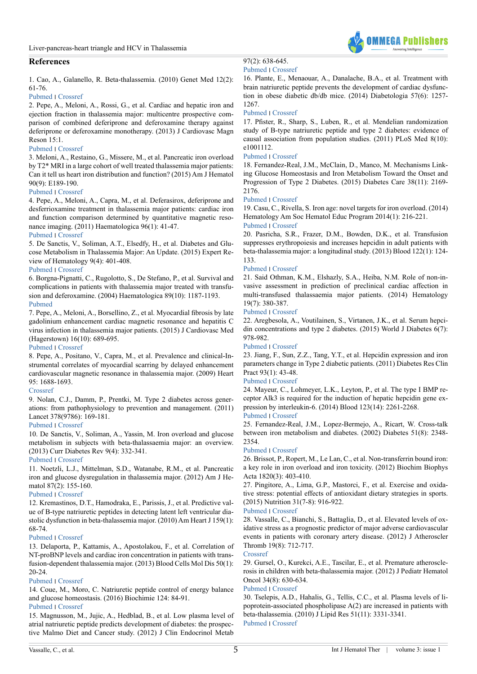## **References**

<span id="page-4-0"></span>1. Cao, A., Galanello, R. Beta-thalassemia. (2010) Genet Med 12(2): 61-76.

#### [Pubmed](https://www.ncbi.nlm.nih.gov/pubmed/20098328) ׀ [Crossref](https://doi.org/10.1097/GIM.0b013e3181cd68ed)

<span id="page-4-1"></span>2. Pepe, A., Meloni, A., Rossi, G., et al. Cardiac and hepatic iron and ejection fraction in thalassemia major: multicentre prospective comparison of combined deferiprone and deferoxamine therapy against deferiprone or deferoxamine monotherapy. (2013) J Cardiovasc Magn Reson 15:1.

#### [Pubmed](https://www.ncbi.nlm.nih.gov/pubmed/23324167) ׀ [Crossref](https://doi.org/10.1186/1532-429X-15-1)

<span id="page-4-2"></span>3. Meloni, A., Restaino, G., Missere, M., et al. Pancreatic iron overload by T2\* MRI in a large cohort of well treated thalassemia major patients: Can it tell us heart iron distribution and function? (2015) Am J Hematol 90(9): E189-190.

#### [Pubmed](https://www.ncbi.nlm.nih.gov/pubmed/26044155) ׀ [Crossref](https://doi.org/10.1002/ajh.24081)

<span id="page-4-3"></span>4. Pepe, A., Meloni, A., Capra, M., et al. Deferasirox, deferiprone and desferrioxamine treatment in thalassemia major patients: cardiac iron and function comparison determined by quantitative magnetic resonance imaging. (2011) Haematologica 96(1): 41-47.

#### [Pubmed](https://www.ncbi.nlm.nih.gov/pmc/articles/PMC3012763/) ׀ [Crossref](https://doi.org/10.3324/haematol.2009.019042)

<span id="page-4-4"></span>5. De Sanctis, V., Soliman, A.T., Elsedfy, H., et al. Diabetes and Glucose Metabolism in Thalassemia Major: An Update. (2015) Expert Review of Hematology 9(4): 401-408.

#### [Pubmed](https://www.ncbi.nlm.nih.gov/pmc/articles/PMC3012763/) ׀ [Crossref](https://doi.org/10.1586/17474086.2016.1136209)

6. Borgna-Pignatti, C., Rugolotto, S., De Stefano, P., et al. Survival and complications in patients with thalassemia major treated with transfusion and deferoxamine. (2004) Haematologica 89(10): 1187-1193. [Pubmed](https://www.ncbi.nlm.nih.gov/pubmed/15477202)

<span id="page-4-5"></span>7. Pepe, A., Meloni, A., Borsellino, Z., et al. Myocardial fibrosis by late gadolinium enhancement cardiac magnetic resonance and hepatitis C virus infection in thalassemia major patients. (2015) J Cardiovasc Med (Hagerstown) 16(10): 689-695.

#### [Pubmed](https://www.ncbi.nlm.nih.gov/pubmed/26090920) ׀ [Crossref](https://doi.org/10.2459/JCM.0000000000000278)

8. Pepe, A., Positano, V., Capra, M., et al. Prevalence and clinical-Instrumental correlates of myocardial scarring by delayed enhancement cardiovascular magnetic resonance in thalassemia major. (2009) Heart 95: 1688-1693.

#### [Crossref](https://doi.org/10.1136/hrt.2008.156497)

<span id="page-4-6"></span>9. Nolan, C.J., Damm, P., Prentki, M. Type 2 diabetes across generations: from pathophysiology to prevention and management. (2011) Lancet 378(9786): 169-181.

#### [Pubmed](https://www.ncbi.nlm.nih.gov/pubmed/21705072) ׀ [Crossref](https://doi.org/10.1016/S0140-6736(11)60614-4)

<span id="page-4-7"></span>10. De Sanctis, V., Soliman, A., Yassin, M. Iron overload and glucose metabolism in subjects with beta-thalassaemia major: an overview. (2013) Curr Diabetes Rev 9(4): 332-341.

#### [Pubmed](https://www.ncbi.nlm.nih.gov/pubmed/23687960) ׀ [Crossref](https://doi.org/10.2174/1573399811309040005)

<span id="page-4-8"></span>11. Noetzli, L.J., Mittelman, S.D., Watanabe, R.M., et al. Pancreatic iron and glucose dysregulation in thalassemia major. (2012) Am J Hematol 87(2): 155-160.

#### [Pubmed](https://www.ncbi.nlm.nih.gov/pubmed/22120775) ׀ [Crossref](https://doi.org/10.1002/ajh.22223)

<span id="page-4-9"></span>12. Kremastinos, D.T., Hamodraka, E., Parissis, J., et al. Predictive value of B-type natriuretic peptides in detecting latent left ventricular diastolic dysfunction in beta-thalassemia major. (2010) Am Heart J 159(1): 68-74.

#### [Pubmed](https://www.ncbi.nlm.nih.gov/pubmed/20102869) ׀ [Crossref](https://doi.org/10.1016/j.ahj.2009.10.025)

<span id="page-4-10"></span>13. Delaporta, P., Kattamis, A., Apostolakou, F., et al. Correlation of NT-proBNP levels and cardiac iron concentration in patients with transfusion-dependent thalassemia major. (2013) Blood Cells Mol Dis 50(1): 20-24.

#### [Pubmed](https://www.ncbi.nlm.nih.gov/pubmed/23017692) ׀ [Crossref](https://doi.org/10.1016/j.bcmd.2012.09.002)

<span id="page-4-11"></span>14. Coue, M., Moro, C. Natriuretic peptide control of energy balance and glucose homeostasis. (2016) Biochimie 124: 84-91. [Pubmed](https://www.ncbi.nlm.nih.gov/pubmed/26037452) ׀ [Crossref](https://doi.org/10.1016/j.biochi.2015.05.017)

<span id="page-4-12"></span>15. Magnusson, M., Jujic, A., Hedblad, B., et al. Low plasma level of atrial natriuretic peptide predicts development of diabetes: the prospective Malmo Diet and Cancer study. (2012) J Clin Endocrinol Metab

#### 97(2): 638-645. [Pubmed](https://www.ncbi.nlm.nih.gov/pubmed/22112816) ׀ [Crossref](https://doi.org/10.1210/jc.2011-2425)

<span id="page-4-13"></span>16. Plante, E., Menaouar, A., Danalache, B.A., et al. Treatment with brain natriuretic peptide prevents the development of cardiac dysfunction in obese diabetic db/db mice. (2014) Diabetologia 57(6): 1257- 1267.

**OMMEGA Publisher** 

#### [Pubmed](https://www.ncbi.nlm.nih.gov/pubmed/24595856) ׀ [Crossref](https://doi.org/10.1007/s00125-014-3201-4)

<span id="page-4-14"></span>17. Pfister, R., Sharp, S., Luben, R., et al. Mendelian randomization study of B-type natriuretic peptide and type 2 diabetes: evidence of causal association from population studies. (2011) PLoS Med 8(10): e1001112.

#### [Pubmed](https://www.ncbi.nlm.nih.gov/pubmed/22039354) ׀ [Crossref](https://doi.org/10.1371/journal.pmed.1001112)

<span id="page-4-15"></span>18. Fernandez-Real, J.M., McClain, D., Manco, M. Mechanisms Linking Glucose Homeostasis and Iron Metabolism Toward the Onset and Progression of Type 2 Diabetes. (2015) Diabetes Care 38(11): 2169- 2176.

#### [Pubmed](https://www.ncbi.nlm.nih.gov/pubmed/26494808) ׀ [Crossref](https://doi.org/10.2337/dc14-3082)

<span id="page-4-16"></span>19. Casu, C., Rivella, S. Iron age: novel targets for iron overload. (2014) Hematology Am Soc Hematol Educ Program 2014(1): 216-221.

#### [Pubmed](https://www.ncbi.nlm.nih.gov/pubmed/25696858) ׀ [Crossref](https://doi.org/10.1182/asheducation-2014.1.216)

<span id="page-4-17"></span>20. Pasricha, S.R., Frazer, D.M., Bowden, D.K., et al. Transfusion suppresses erythropoiesis and increases hepcidin in adult patients with beta-thalassemia major: a longitudinal study. (2013) Blood 122(1): 124- 133.

#### [Pubmed](https://www.ncbi.nlm.nih.gov/pubmed/23656728) ׀ [Crossref](https://doi.org/10.1182/blood-2012-12-471441)

<span id="page-4-18"></span>21. Said Othman, K.M., Elshazly, S.A., Heiba, N.M. Role of non-invasive assessment in prediction of preclinical cardiac affection in multi-transfused thalassaemia major patients. (2014) Hematology 19(7): 380-387.

#### [Pubmed](https://www.ncbi.nlm.nih.gov/pubmed/24225039) ׀ [Crossref](https://doi.org/10.1179/1607845413Y.0000000140)

<span id="page-4-19"></span>22. Aregbesola, A., Voutilainen, S., Virtanen, J.K., et al. Serum hepcidin concentrations and type 2 diabetes. (2015) World J Diabetes 6(7): 978-982.

#### [Pubmed](https://www.ncbi.nlm.nih.gov/pubmed/26185605) ׀ [Crossref](https://doi.org/10.4239/wjd.v6.i7.978)

<span id="page-4-20"></span>23. Jiang, F., Sun, Z.Z., Tang, Y.T., et al. Hepcidin expression and iron parameters change in Type 2 diabetic patients. (2011) Diabetes Res Clin Pract 93(1): 43-48.

#### [Pubmed](https://www.ncbi.nlm.nih.gov/pubmed/21513996) ׀ [Crossref](https://doi.org/10.1016/j.diabres.2011.03.028)

<span id="page-4-21"></span>24. Mayeur, C., Lohmeyer, L.K., Leyton, P., et al. The type I BMP receptor Alk3 is required for the induction of hepatic hepcidin gene expression by interleukin-6. (2014) Blood 123(14): 2261-2268.

#### [Pubmed](https://www.ncbi.nlm.nih.gov/pubmed/24501215) ׀ [Crossref](https://doi.org/10.1182/blood-2013-02-480095)

<span id="page-4-22"></span>25. Fernandez-Real, J.M., Lopez-Bermejo, A., Ricart, W. Cross-talk between iron metabolism and diabetes. (2002) Diabetes 51(8): 2348- 2354.

#### [Pubmed](https://www.ncbi.nlm.nih.gov/pubmed/12145144) ׀ [Crossref](https://doi.org/10.2337/diabetes.51.8.2348)

<span id="page-4-23"></span>26. Brissot, P., Ropert, M., Le Lan, C., et al. Non-transferrin bound iron: a key role in iron overload and iron toxicity. (2012) Biochim Biophys Acta 1820(3): 403-410.

<span id="page-4-24"></span>27. Pingitore, A., Lima, G.P., Mastorci, F., et al. Exercise and oxidative stress: potential effects of antioxidant dietary strategies in sports. (2015) Nutrition 31(7-8): 916-922.

### [Pubmed](https://www.ncbi.nlm.nih.gov/pubmed/26059364) ׀ [Crossref](https://doi.org/10.1016/j.nut.2015.02.005)

<span id="page-4-25"></span>28. Vassalle, C., Bianchi, S., Battaglia, D., et al. Elevated levels of oxidative stress as a prognostic predictor of major adverse cardiovascular events in patients with coronary artery disease. (2012) J Atheroscler Thromb 19(8): 712-717.

#### [Crossref](https://doi.org/10.5551/jat.12740)

<span id="page-4-26"></span>29. Gursel, O., Kurekci, A.E., Tascilar, E., et al. Premature atherosclerosis in children with beta-thalassemia major. (2012) J Pediatr Hematol Oncol 34(8): 630-634.

#### [Pubmed](https://www.ncbi.nlm.nih.gov/pubmed/23108004) ׀ [Crossref](https://doi.org/10.1097/MPH.0b013e3182707f4d)

<span id="page-4-27"></span>30. Tselepis, A.D., Hahalis, G., Tellis, C.C., et al. Plasma levels of lipoprotein-associated phospholipase A(2) are increased in patients with beta-thalassemia. (2010) J Lipid Res 51(11): 3331-3341. [Pubmed](https://www.ncbi.nlm.nih.gov/pubmed/20625038) ׀ [Crossref](https://doi.org/10.1194/jlr.M007229)